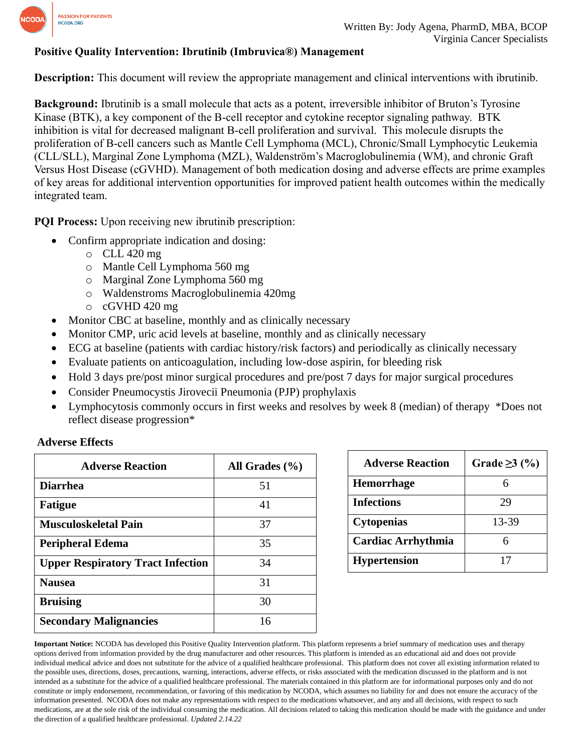

## **Positive Quality Intervention: Ibrutinib (Imbruvica®) Management**

**Description:** This document will review the appropriate management and clinical interventions with ibrutinib.

**Background:** Ibrutinib is a small molecule that acts as a potent, irreversible inhibitor of Bruton's Tyrosine Kinase (BTK), a key component of the B-cell receptor and cytokine receptor signaling pathway. BTK inhibition is vital for decreased malignant B-cell proliferation and survival. This molecule disrupts the proliferation of B-cell cancers such as Mantle Cell Lymphoma (MCL), Chronic/Small Lymphocytic Leukemia (CLL/SLL), Marginal Zone Lymphoma (MZL), Waldenström's Macroglobulinemia (WM), and chronic Graft Versus Host Disease (cGVHD). Management of both medication dosing and adverse effects are prime examples of key areas for additional intervention opportunities for improved patient health outcomes within the medically integrated team.

**PQI Process:** Upon receiving new ibrutinib prescription:

- Confirm appropriate indication and dosing:
	- o CLL 420 mg
	- o Mantle Cell Lymphoma 560 mg
	- o Marginal Zone Lymphoma 560 mg
	- o Waldenstroms Macroglobulinemia 420mg
	- o cGVHD 420 mg
- Monitor CBC at baseline, monthly and as clinically necessary
- Monitor CMP, uric acid levels at baseline, monthly and as clinically necessary
- ECG at baseline (patients with cardiac history/risk factors) and periodically as clinically necessary
- Evaluate patients on anticoagulation, including low-dose aspirin, for bleeding risk
- Hold 3 days pre/post minor surgical procedures and pre/post 7 days for major surgical procedures
- Consider Pneumocystis Jirovecii Pneumonia (PJP) prophylaxis
- Lymphocytosis commonly occurs in first weeks and resolves by week 8 (median) of therapy \*Does not reflect disease progression\*

| <b>Adverse Reaction</b>                  | All Grades $(\% )$ |
|------------------------------------------|--------------------|
| <b>Diarrhea</b>                          | 51                 |
| <b>Fatigue</b>                           | 41                 |
| <b>Musculoskeletal Pain</b>              | 37                 |
| <b>Peripheral Edema</b>                  | 35                 |
| <b>Upper Respiratory Tract Infection</b> | 34                 |
| <b>Nausea</b>                            | 31                 |
| <b>Bruising</b>                          | 30                 |
| <b>Secondary Malignancies</b>            | 16                 |

| <b>Adverse Reaction</b>   | Grade $\geq$ 3 (%) |
|---------------------------|--------------------|
| <b>Hemorrhage</b>         | h                  |
| <b>Infections</b>         | 29                 |
| <b>Cytopenias</b>         | 13-39              |
| <b>Cardiac Arrhythmia</b> |                    |
| <b>Hypertension</b>       |                    |

**Important Notice:** NCODA has developed this Positive Quality Intervention platform. This platform represents a brief summary of medication uses and therapy options derived from information provided by the drug manufacturer and other resources. This platform is intended as an educational aid and does not provide individual medical advice and does not substitute for the advice of a qualified healthcare professional. This platform does not cover all existing information related to the possible uses, directions, doses, precautions, warning, interactions, adverse effects, or risks associated with the medication discussed in the platform and is not intended as a substitute for the advice of a qualified healthcare professional. The materials contained in this platform are for informational purposes only and do not constitute or imply endorsement, recommendation, or favoring of this medication by NCODA, which assumes no liability for and does not ensure the accuracy of the information presented. NCODA does not make any representations with respect to the medications whatsoever, and any and all decisions, with respect to such medications, are at the sole risk of the individual consuming the medication. All decisions related to taking this medication should be made with the guidance and under the direction of a qualified healthcare professional. *Updated 2.14.22*

#### **Adverse Effects**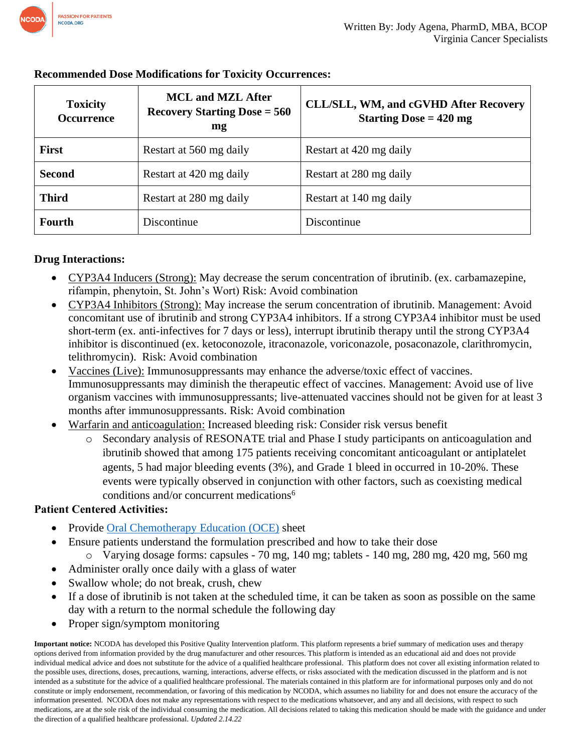

| <b>Toxicity</b><br><b>Occurrence</b> | <b>MCL and MZL After</b><br><b>Recovery Starting Dose = 560</b><br>mg | <b>CLL/SLL, WM, and cGVHD After Recovery</b><br>Starting Dose $= 420$ mg |
|--------------------------------------|-----------------------------------------------------------------------|--------------------------------------------------------------------------|
| <b>First</b>                         | Restart at 560 mg daily                                               | Restart at 420 mg daily                                                  |
| <b>Second</b>                        | Restart at 420 mg daily                                               | Restart at 280 mg daily                                                  |
| <b>Third</b>                         | Restart at 280 mg daily                                               | Restart at 140 mg daily                                                  |
| Fourth                               | Discontinue                                                           | Discontinue                                                              |

## **Recommended Dose Modifications for Toxicity Occurrences:**

## **Drug Interactions:**

- CYP3A4 Inducers (Strong): May decrease the serum concentration of ibrutinib. (ex. carbamazepine, rifampin, phenytoin, St. John's Wort) Risk: Avoid combination
- CYP3A4 Inhibitors (Strong): May increase the serum concentration of ibrutinib. Management: Avoid concomitant use of ibrutinib and strong CYP3A4 inhibitors. If a strong CYP3A4 inhibitor must be used short-term (ex. anti-infectives for 7 days or less), interrupt ibrutinib therapy until the strong CYP3A4 inhibitor is discontinued (ex. ketoconozole, itraconazole, voriconazole, posaconazole, clarithromycin, telithromycin). Risk: Avoid combination
- Vaccines (Live): Immunosuppressants may enhance the adverse/toxic effect of vaccines. Immunosuppressants may diminish the therapeutic effect of vaccines. Management: Avoid use of live organism vaccines with immunosuppressants; live-attenuated vaccines should not be given for at least 3 months after immunosuppressants. Risk: Avoid combination
- Warfarin and anticoagulation: Increased bleeding risk: Consider risk versus benefit
	- o Secondary analysis of RESONATE trial and Phase I study participants on anticoagulation and ibrutinib showed that among 175 patients receiving concomitant anticoagulant or antiplatelet agents, 5 had major bleeding events (3%), and Grade 1 bleed in occurred in 10-20%. These events were typically observed in conjunction with other factors, such as coexisting medical conditions and/or concurrent medications<sup>6</sup>

# **Patient Centered Activities:**

- Provide Oral [Chemotherapy Education \(OCE\)](https://www.oralchemoedsheets.com/index.php/sheet-library/24-available/generic/70-ibrutinib) sheet
- Ensure patients understand the formulation prescribed and how to take their dose
	- $\circ$  Varying dosage forms: capsules 70 mg, 140 mg; tablets 140 mg, 280 mg, 420 mg, 560 mg
- Administer orally once daily with a glass of water
- Swallow whole; do not break, crush, chew
- If a dose of ibrutinib is not taken at the scheduled time, it can be taken as soon as possible on the same day with a return to the normal schedule the following day
- Proper sign/symptom monitoring

**Important notice:** NCODA has developed this Positive Quality Intervention platform. This platform represents a brief summary of medication uses and therapy options derived from information provided by the drug manufacturer and other resources. This platform is intended as an educational aid and does not provide individual medical advice and does not substitute for the advice of a qualified healthcare professional. This platform does not cover all existing information related to the possible uses, directions, doses, precautions, warning, interactions, adverse effects, or risks associated with the medication discussed in the platform and is not intended as a substitute for the advice of a qualified healthcare professional. The materials contained in this platform are for informational purposes only and do not constitute or imply endorsement, recommendation, or favoring of this medication by NCODA, which assumes no liability for and does not ensure the accuracy of the information presented. NCODA does not make any representations with respect to the medications whatsoever, and any and all decisions, with respect to such medications, are at the sole risk of the individual consuming the medication. All decisions related to taking this medication should be made with the guidance and under the direction of a qualified healthcare professional. *Updated 2.14.22*